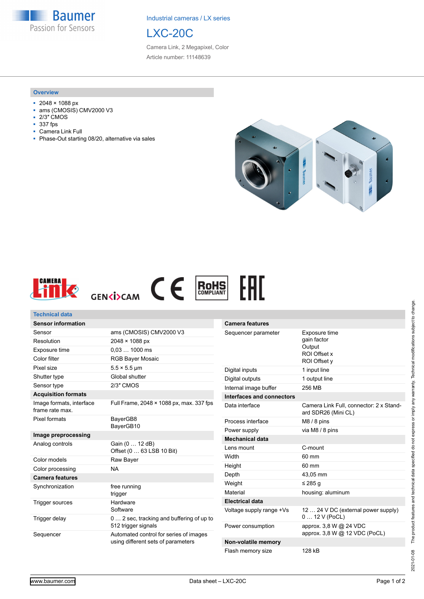**Baumer** Passion for Sensors

Industrial cameras / LX series



Camera Link, 2 Megapixel, Color Article number: 11148639

## **Overview**

- 2048 × 1088 px
- ams (CMOSIS) CMV2000 V3
- 2/3" CMOS<br>■ 337 fps
- 337 fps
- Camera Link Full
- Phase-Out starting 08/20, alternative via sales





| <b>Technical data</b>                       |                                                                              |                                                                                               |                                                                |
|---------------------------------------------|------------------------------------------------------------------------------|-----------------------------------------------------------------------------------------------|----------------------------------------------------------------|
| <b>Sensor information</b>                   |                                                                              | <b>Camera features</b>                                                                        |                                                                |
| Sensor                                      | ams (CMOSIS) CMV2000 V3                                                      | Exposure time<br>Sequencer parameter<br>gain factor<br>Output<br>ROI Offset x<br>ROI Offset v |                                                                |
| Resolution                                  | 2048 × 1088 px                                                               |                                                                                               |                                                                |
| Exposure time                               | $0.031000$ ms                                                                |                                                                                               |                                                                |
| Color filter                                | <b>RGB Bayer Mosaic</b>                                                      |                                                                                               |                                                                |
| Pixel size                                  | $5.5 \times 5.5$ µm                                                          | Digital inputs                                                                                | 1 input line                                                   |
| Shutter type                                | Global shutter                                                               | Digital outputs                                                                               | 1 output line                                                  |
| Sensor type                                 | 2/3" CMOS                                                                    | Internal image buffer                                                                         | 256 MB                                                         |
| <b>Acquisition formats</b>                  |                                                                              | Interfaces and connectors                                                                     |                                                                |
| Image formats, interface<br>frame rate max. | Full Frame, 2048 × 1088 px, max. 337 fps                                     | Data interface                                                                                | Camera Link Full, connector: 2 x Stand-<br>ard SDR26 (Mini CL) |
| Pixel formats                               | BayerGB8                                                                     | Process interface                                                                             | $M8/8$ pins                                                    |
|                                             | BayerGB10                                                                    | Power supply                                                                                  | via M8 / 8 pins                                                |
| Image preprocessing                         |                                                                              | <b>Mechanical data</b>                                                                        |                                                                |
| Analog controls                             | Gain (0  12 dB)<br>Offset (0  63 LSB 10 Bit)                                 | Lens mount                                                                                    | C-mount                                                        |
| Color models                                | Raw Bayer                                                                    | Width                                                                                         | 60 mm                                                          |
| Color processing                            | <b>NA</b>                                                                    | Height                                                                                        | 60 mm                                                          |
| <b>Camera features</b>                      |                                                                              | Depth                                                                                         | 43,05 mm                                                       |
| Synchronization                             | free running<br>trigger                                                      | Weight                                                                                        | ≤ 285 q                                                        |
|                                             |                                                                              | Material                                                                                      | housing: aluminum                                              |
| <b>Trigger sources</b>                      | Hardware                                                                     | <b>Electrical data</b>                                                                        |                                                                |
| Trigger delay                               | Software<br>0 2 sec, tracking and buffering of up to                         | Voltage supply range +Vs                                                                      | 12  24 V DC (external power supply)<br>$012V$ (PoCL)           |
|                                             | 512 trigger signals                                                          | Power consumption                                                                             | approx. 3,8 W @ 24 VDC<br>approx. 3,8 W @ 12 VDC (PoCL)        |
| Sequencer                                   | Automated control for series of images<br>using different sets of parameters | Non-volatile memory                                                                           |                                                                |
|                                             |                                                                              |                                                                                               |                                                                |